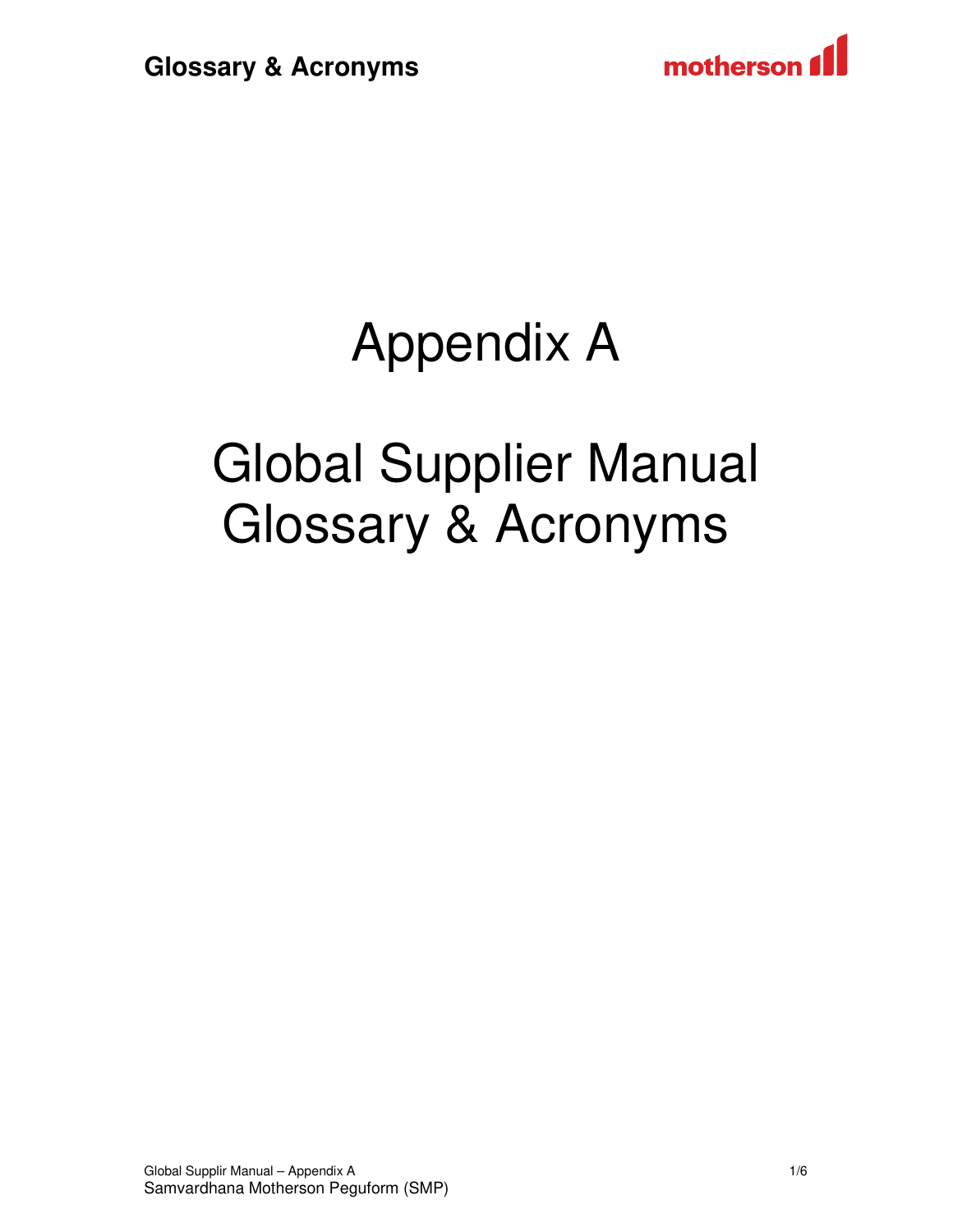



# Appendix A

# Global Supplier Manual Glossary & Acronyms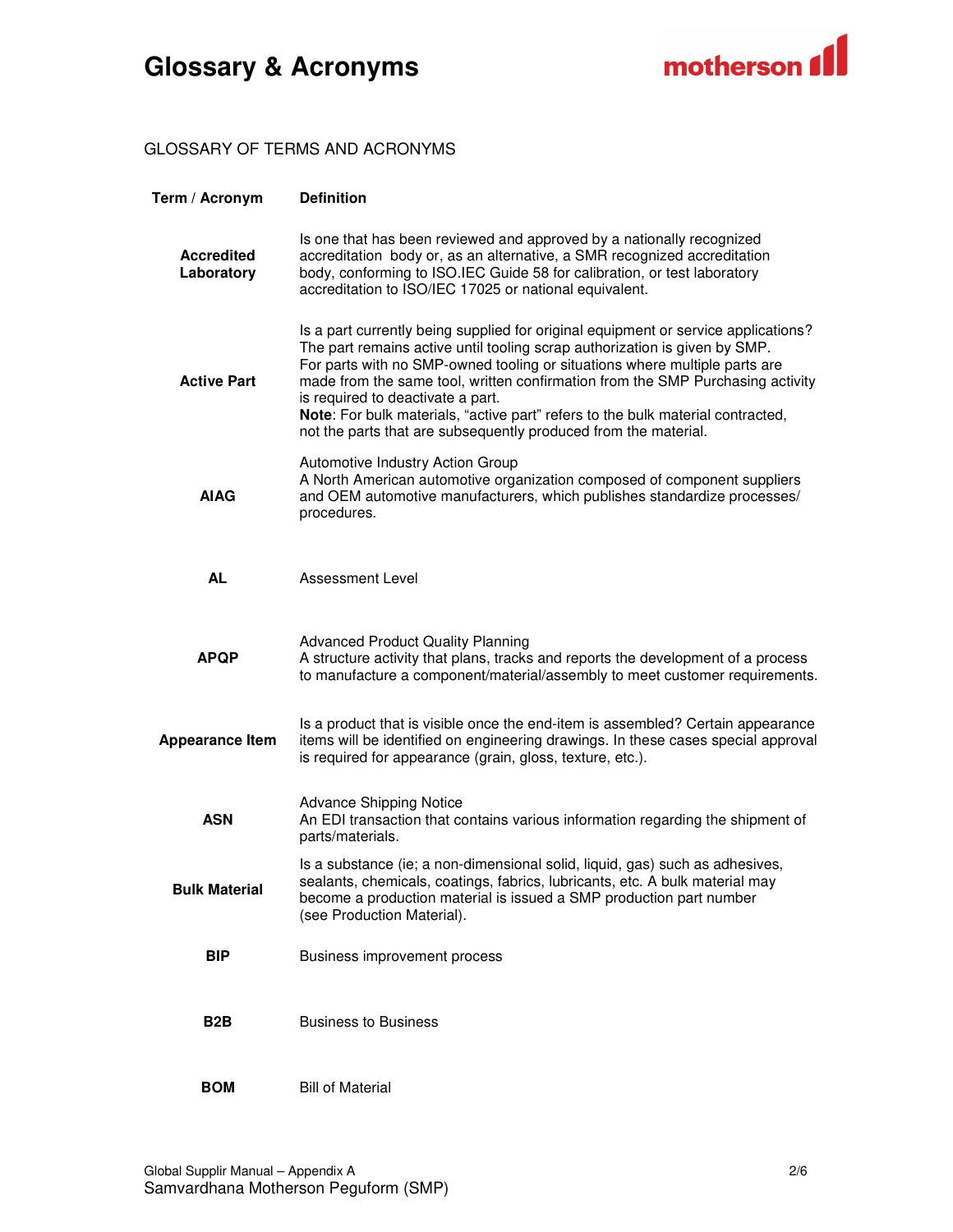

#### GLOSSARY OF TERMS AND ACRONYMS

| Term / Acronym                  | <b>Definition</b>                                                                                                                                                                                                                                                                                                                                                                                                                                                                                                           |
|---------------------------------|-----------------------------------------------------------------------------------------------------------------------------------------------------------------------------------------------------------------------------------------------------------------------------------------------------------------------------------------------------------------------------------------------------------------------------------------------------------------------------------------------------------------------------|
| <b>Accredited</b><br>Laboratory | Is one that has been reviewed and approved by a nationally recognized<br>accreditation body or, as an alternative, a SMR recognized accreditation<br>body, conforming to ISO.IEC Guide 58 for calibration, or test laboratory<br>accreditation to ISO/IEC 17025 or national equivalent.                                                                                                                                                                                                                                     |
| <b>Active Part</b>              | Is a part currently being supplied for original equipment or service applications?<br>The part remains active until tooling scrap authorization is given by SMP.<br>For parts with no SMP-owned tooling or situations where multiple parts are<br>made from the same tool, written confirmation from the SMP Purchasing activity<br>is required to deactivate a part.<br>Note: For bulk materials, "active part" refers to the bulk material contracted,<br>not the parts that are subsequently produced from the material. |
| <b>AIAG</b>                     | Automotive Industry Action Group<br>A North American automotive organization composed of component suppliers<br>and OEM automotive manufacturers, which publishes standardize processes/<br>procedures.                                                                                                                                                                                                                                                                                                                     |
| <b>AL</b>                       | <b>Assessment Level</b>                                                                                                                                                                                                                                                                                                                                                                                                                                                                                                     |
| <b>APQP</b>                     | <b>Advanced Product Quality Planning</b><br>A structure activity that plans, tracks and reports the development of a process<br>to manufacture a component/material/assembly to meet customer requirements.                                                                                                                                                                                                                                                                                                                 |
| <b>Appearance Item</b>          | Is a product that is visible once the end-item is assembled? Certain appearance<br>items will be identified on engineering drawings. In these cases special approval<br>is required for appearance (grain, gloss, texture, etc.).                                                                                                                                                                                                                                                                                           |
| <b>ASN</b>                      | <b>Advance Shipping Notice</b><br>An EDI transaction that contains various information regarding the shipment of<br>parts/materials.                                                                                                                                                                                                                                                                                                                                                                                        |
| <b>Bulk Material</b>            | Is a substance (ie; a non-dimensional solid, liquid, gas) such as adhesives,<br>sealants, chemicals, coatings, fabrics, lubricants, etc. A bulk material may<br>become a production material is issued a SMP production part number<br>(see Production Material).                                                                                                                                                                                                                                                           |
| <b>BIP</b>                      | <b>Business improvement process</b>                                                                                                                                                                                                                                                                                                                                                                                                                                                                                         |
| B2B                             | <b>Business to Business</b>                                                                                                                                                                                                                                                                                                                                                                                                                                                                                                 |
| <b>BOM</b>                      | <b>Bill of Material</b>                                                                                                                                                                                                                                                                                                                                                                                                                                                                                                     |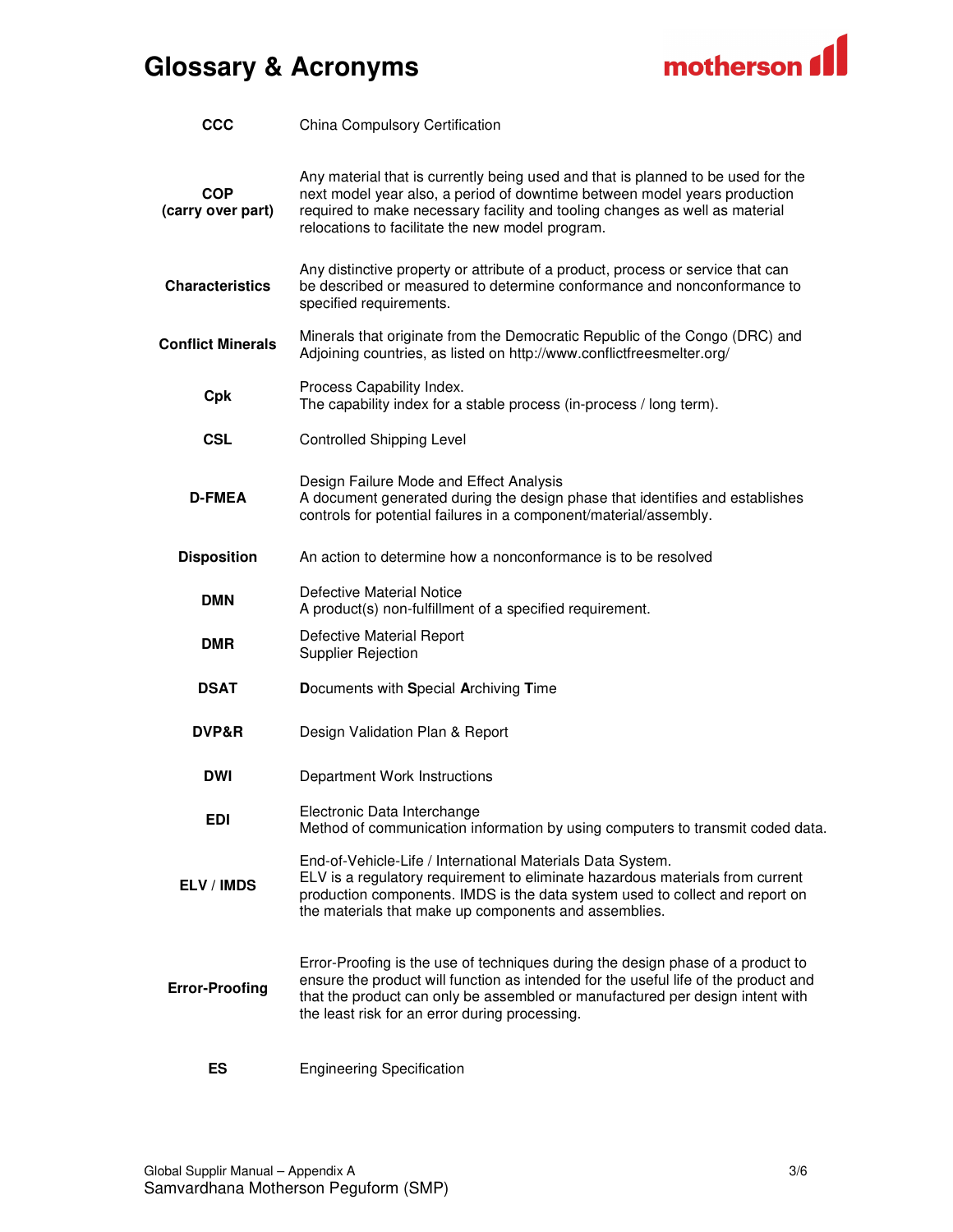

| <b>CCC</b>                      | China Compulsory Certification                                                                                                                                                                                                                                                                            |
|---------------------------------|-----------------------------------------------------------------------------------------------------------------------------------------------------------------------------------------------------------------------------------------------------------------------------------------------------------|
| <b>COP</b><br>(carry over part) | Any material that is currently being used and that is planned to be used for the<br>next model year also, a period of downtime between model years production<br>required to make necessary facility and tooling changes as well as material<br>relocations to facilitate the new model program.          |
| <b>Characteristics</b>          | Any distinctive property or attribute of a product, process or service that can<br>be described or measured to determine conformance and nonconformance to<br>specified requirements.                                                                                                                     |
| <b>Conflict Minerals</b>        | Minerals that originate from the Democratic Republic of the Congo (DRC) and<br>Adjoining countries, as listed on http://www.conflictfreesmelter.org/                                                                                                                                                      |
| Cpk                             | Process Capability Index.<br>The capability index for a stable process (in-process / long term).                                                                                                                                                                                                          |
| <b>CSL</b>                      | <b>Controlled Shipping Level</b>                                                                                                                                                                                                                                                                          |
| <b>D-FMEA</b>                   | Design Failure Mode and Effect Analysis<br>A document generated during the design phase that identifies and establishes<br>controls for potential failures in a component/material/assembly.                                                                                                              |
| <b>Disposition</b>              | An action to determine how a nonconformance is to be resolved                                                                                                                                                                                                                                             |
| DMN                             | Defective Material Notice<br>A product(s) non-fulfillment of a specified requirement.                                                                                                                                                                                                                     |
| DMR                             | Defective Material Report<br><b>Supplier Rejection</b>                                                                                                                                                                                                                                                    |
| <b>DSAT</b>                     | Documents with Special Archiving Time                                                                                                                                                                                                                                                                     |
| DVP&R                           | Design Validation Plan & Report                                                                                                                                                                                                                                                                           |
| <b>DWI</b>                      | Department Work Instructions                                                                                                                                                                                                                                                                              |
| <b>EDI</b>                      | Electronic Data Interchange<br>Method of communication information by using computers to transmit coded data.                                                                                                                                                                                             |
| ELV / IMDS                      | End-of-Vehicle-Life / International Materials Data System.<br>ELV is a regulatory requirement to eliminate hazardous materials from current<br>production components. IMDS is the data system used to collect and report on<br>the materials that make up components and assemblies.                      |
| <b>Error-Proofing</b>           | Error-Proofing is the use of techniques during the design phase of a product to<br>ensure the product will function as intended for the useful life of the product and<br>that the product can only be assembled or manufactured per design intent with<br>the least risk for an error during processing. |

**ES** Engineering Specification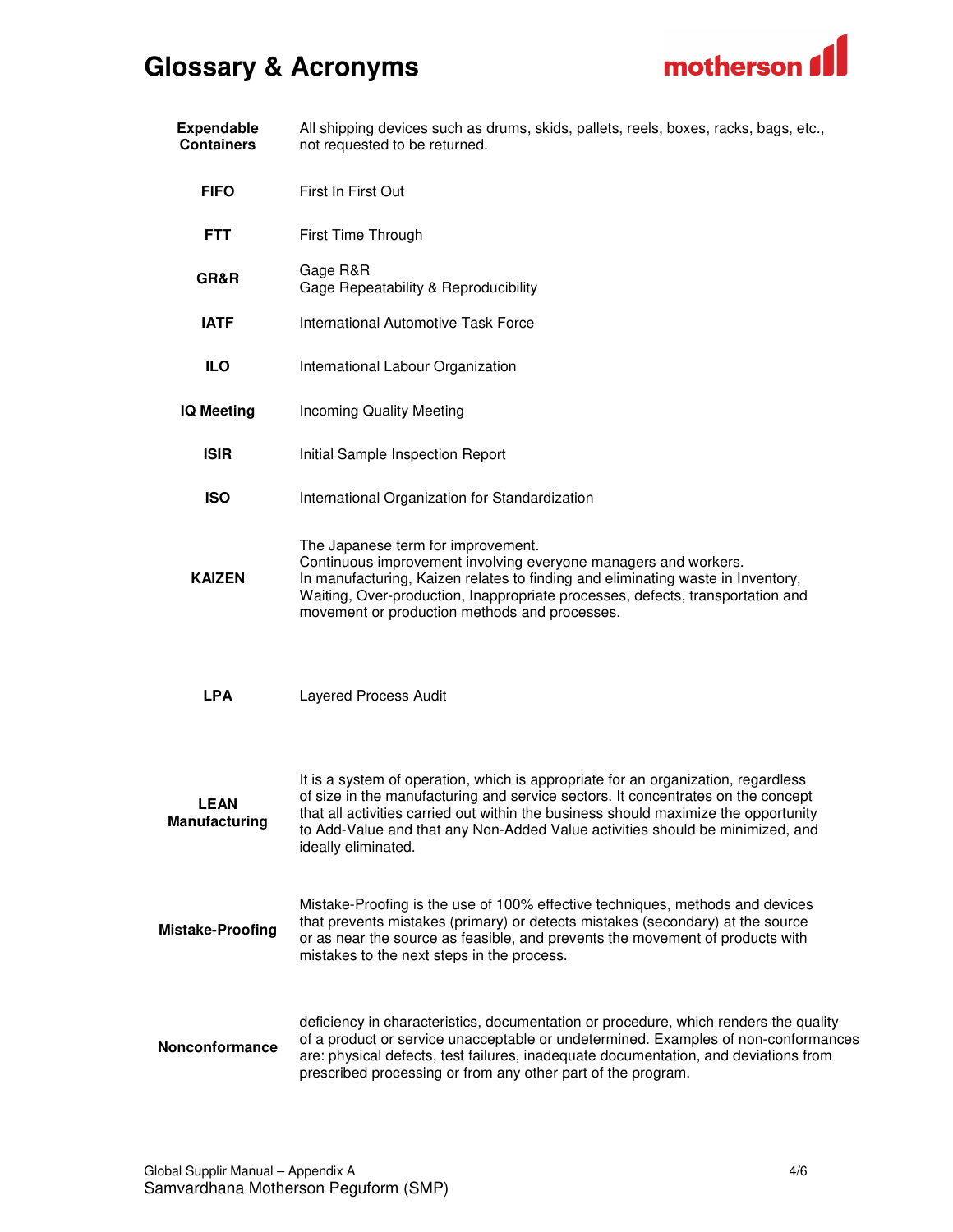

| <b>Expendable</b><br><b>Containers</b> | All shipping devices such as drums, skids, pallets, reels, boxes, racks, bags, etc.,<br>not requested to be returned.                                                                                                                                                                                                                                                |
|----------------------------------------|----------------------------------------------------------------------------------------------------------------------------------------------------------------------------------------------------------------------------------------------------------------------------------------------------------------------------------------------------------------------|
| <b>FIFO</b>                            | First In First Out                                                                                                                                                                                                                                                                                                                                                   |
| <b>FTT</b>                             | First Time Through                                                                                                                                                                                                                                                                                                                                                   |
| GR&R                                   | Gage R&R<br>Gage Repeatability & Reproducibility                                                                                                                                                                                                                                                                                                                     |
| <b>IATF</b>                            | <b>International Automotive Task Force</b>                                                                                                                                                                                                                                                                                                                           |
| ILO                                    | International Labour Organization                                                                                                                                                                                                                                                                                                                                    |
| <b>IQ Meeting</b>                      | <b>Incoming Quality Meeting</b>                                                                                                                                                                                                                                                                                                                                      |
| <b>ISIR</b>                            | Initial Sample Inspection Report                                                                                                                                                                                                                                                                                                                                     |
| <b>ISO</b>                             | International Organization for Standardization                                                                                                                                                                                                                                                                                                                       |
| <b>KAIZEN</b>                          | The Japanese term for improvement.<br>Continuous improvement involving everyone managers and workers.<br>In manufacturing, Kaizen relates to finding and eliminating waste in Inventory,<br>Waiting, Over-production, Inappropriate processes, defects, transportation and<br>movement or production methods and processes.                                          |
| <b>LPA</b>                             | <b>Layered Process Audit</b>                                                                                                                                                                                                                                                                                                                                         |
| <b>LEAN</b><br><b>Manufacturing</b>    | It is a system of operation, which is appropriate for an organization, regardless<br>of size in the manufacturing and service sectors. It concentrates on the concept<br>that all activities carried out within the business should maximize the opportunity<br>to Add-Value and that any Non-Added Value activities should be minimized, and<br>ideally eliminated. |
| <b>Mistake-Proofing</b>                | Mistake-Proofing is the use of 100% effective techniques, methods and devices<br>that prevents mistakes (primary) or detects mistakes (secondary) at the source<br>or as near the source as feasible, and prevents the movement of products with<br>mistakes to the next steps in the process.                                                                       |
| Nonconformance                         | deficiency in characteristics, documentation or procedure, which renders the quality<br>of a product or service unacceptable or undetermined. Examples of non-conformances<br>are: physical defects, test failures, inadequate documentation, and deviations from<br>prescribed processing or from any other part of the program.                                    |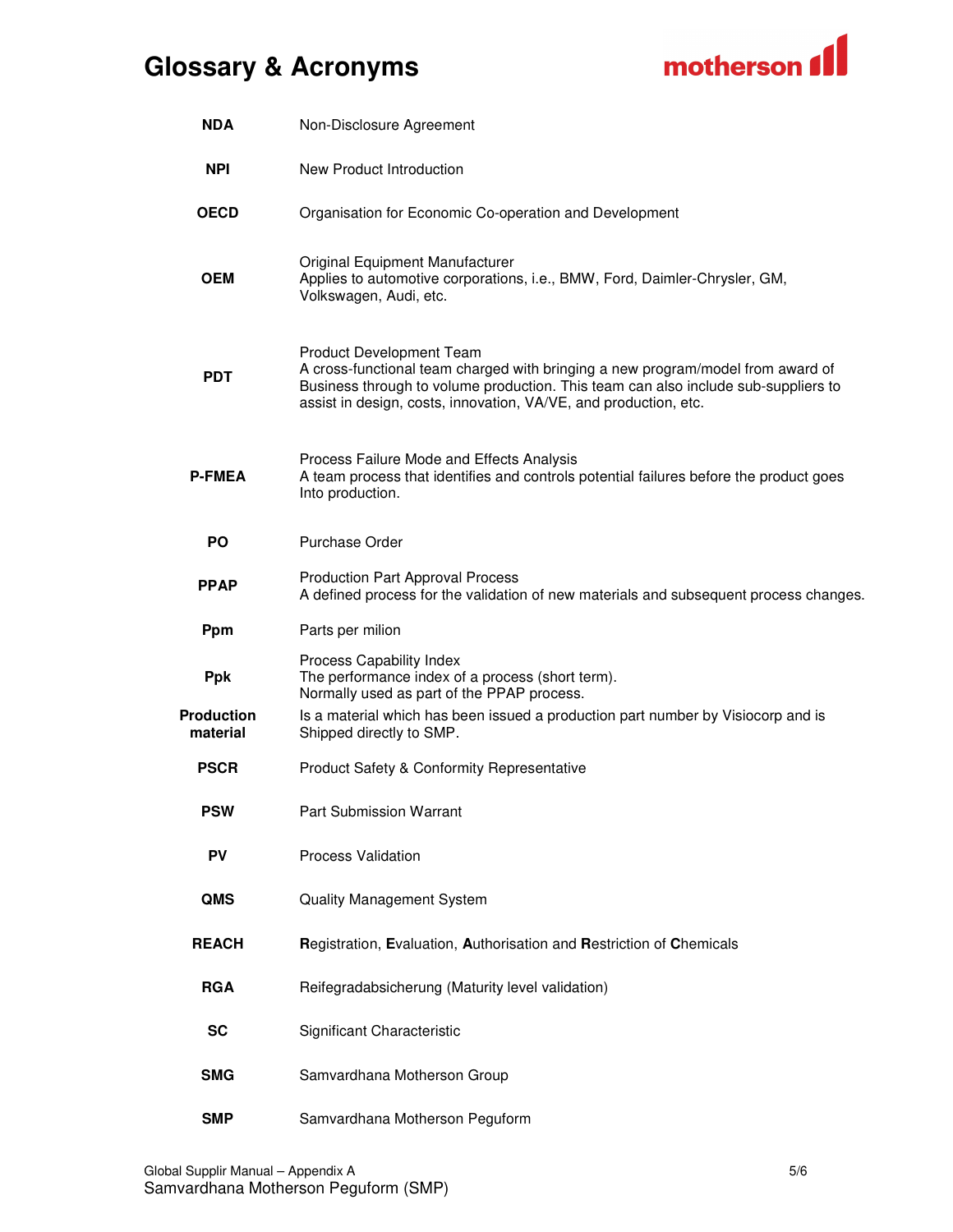

| <b>NDA</b>                    | Non-Disclosure Agreement                                                                                                                                                                                                                                              |
|-------------------------------|-----------------------------------------------------------------------------------------------------------------------------------------------------------------------------------------------------------------------------------------------------------------------|
| <b>NPI</b>                    | New Product Introduction                                                                                                                                                                                                                                              |
| <b>OECD</b>                   | Organisation for Economic Co-operation and Development                                                                                                                                                                                                                |
| <b>OEM</b>                    | Original Equipment Manufacturer<br>Applies to automotive corporations, i.e., BMW, Ford, Daimler-Chrysler, GM,<br>Volkswagen, Audi, etc.                                                                                                                               |
| <b>PDT</b>                    | Product Development Team<br>A cross-functional team charged with bringing a new program/model from award of<br>Business through to volume production. This team can also include sub-suppliers to<br>assist in design, costs, innovation, VA/VE, and production, etc. |
| <b>P-FMEA</b>                 | Process Failure Mode and Effects Analysis<br>A team process that identifies and controls potential failures before the product goes<br>Into production.                                                                                                               |
| <b>PO</b>                     | <b>Purchase Order</b>                                                                                                                                                                                                                                                 |
| <b>PPAP</b>                   | <b>Production Part Approval Process</b><br>A defined process for the validation of new materials and subsequent process changes.                                                                                                                                      |
| Ppm                           | Parts per milion                                                                                                                                                                                                                                                      |
| <b>Ppk</b>                    | Process Capability Index<br>The performance index of a process (short term).<br>Normally used as part of the PPAP process.                                                                                                                                            |
| <b>Production</b><br>material | Is a material which has been issued a production part number by Visiocorp and is<br>Shipped directly to SMP.                                                                                                                                                          |
| <b>PSCR</b>                   | Product Safety & Conformity Representative                                                                                                                                                                                                                            |
| <b>PSW</b>                    | Part Submission Warrant                                                                                                                                                                                                                                               |
| PV                            | Process Validation                                                                                                                                                                                                                                                    |
| QMS                           | <b>Quality Management System</b>                                                                                                                                                                                                                                      |
| <b>REACH</b>                  | Registration, Evaluation, Authorisation and Restriction of Chemicals                                                                                                                                                                                                  |
| <b>RGA</b>                    | Reifegradabsicherung (Maturity level validation)                                                                                                                                                                                                                      |
| <b>SC</b>                     | Significant Characteristic                                                                                                                                                                                                                                            |
| <b>SMG</b>                    | Samvardhana Motherson Group                                                                                                                                                                                                                                           |
| <b>SMP</b>                    | Samvardhana Motherson Peguform                                                                                                                                                                                                                                        |